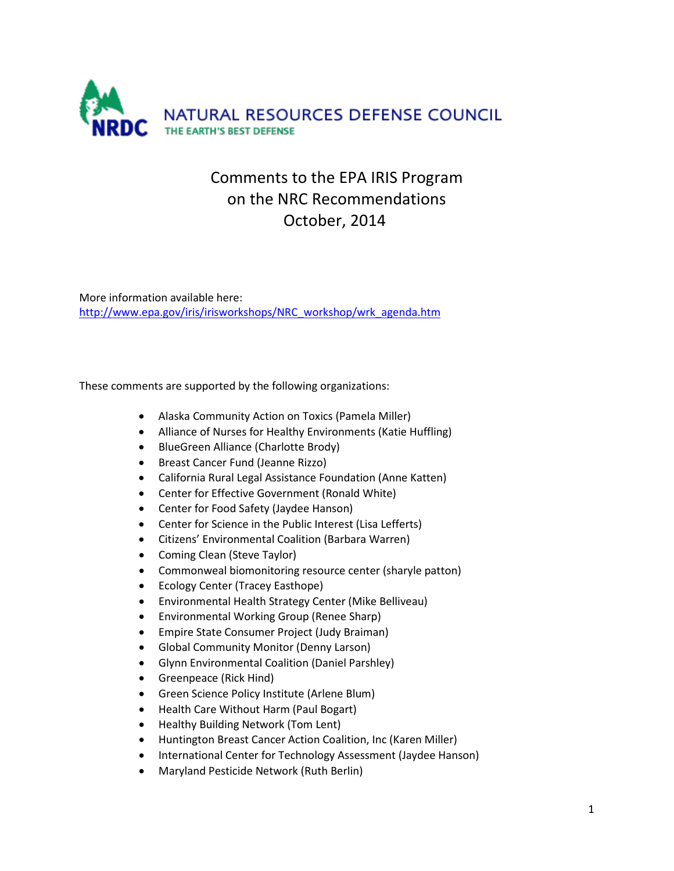

# Comments to the EPA IRIS Program on the NRC Recommendations October, 2014

More information available here: [http://www.epa.gov/iris/irisworkshops/NRC\\_workshop/wrk\\_agenda.htm](http://www.epa.gov/iris/irisworkshops/NRC_workshop/wrk_agenda.htm)

These comments are supported by the following organizations:

- Alaska Community Action on Toxics (Pamela Miller)
- Alliance of Nurses for Healthy Environments (Katie Huffling)
- BlueGreen Alliance (Charlotte Brody)
- Breast Cancer Fund (Jeanne Rizzo)
- California Rural Legal Assistance Foundation (Anne Katten)
- Center for Effective Government (Ronald White)
- Center for Food Safety (Jaydee Hanson)
- Center for Science in the Public Interest (Lisa Lefferts)
- Citizens' Environmental Coalition (Barbara Warren)
- Coming Clean (Steve Taylor)
- Commonweal biomonitoring resource center (sharyle patton)
- Ecology Center (Tracey Easthope)
- Environmental Health Strategy Center (Mike Belliveau)
- Environmental Working Group (Renee Sharp)
- Empire State Consumer Project (Judy Braiman)
- Global Community Monitor (Denny Larson)
- Glynn Environmental Coalition (Daniel Parshley)
- Greenpeace (Rick Hind)
- Green Science Policy Institute (Arlene Blum)
- Health Care Without Harm (Paul Bogart)
- Healthy Building Network (Tom Lent)
- Huntington Breast Cancer Action Coalition, Inc (Karen Miller)
- International Center for Technology Assessment (Jaydee Hanson)
- Maryland Pesticide Network (Ruth Berlin)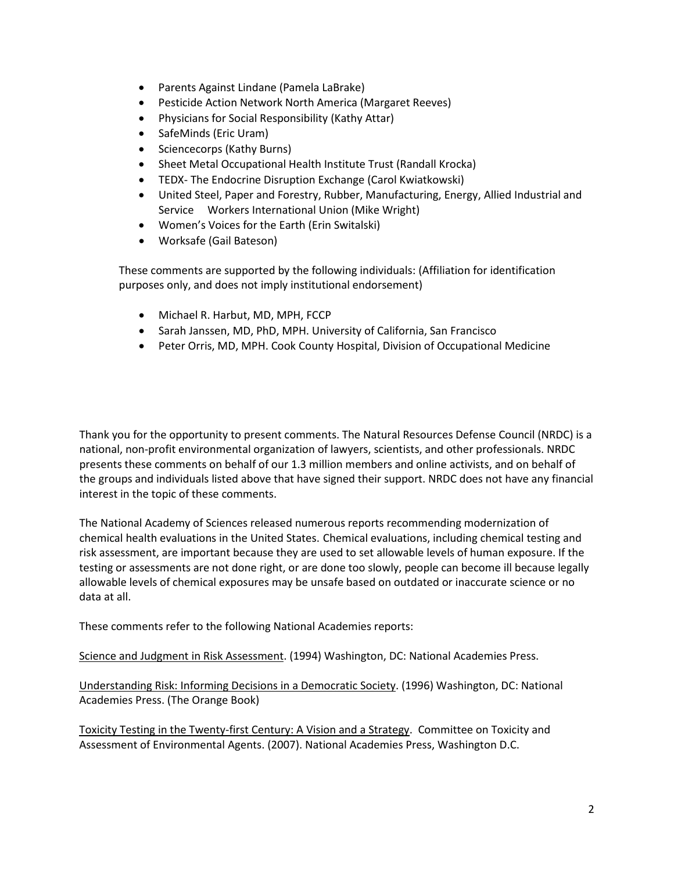- Parents Against Lindane (Pamela LaBrake)
- Pesticide Action Network North America (Margaret Reeves)
- Physicians for Social Responsibility (Kathy Attar)
- SafeMinds (Eric Uram)
- Sciencecorps (Kathy Burns)
- Sheet Metal Occupational Health Institute Trust (Randall Krocka)
- TEDX- The Endocrine Disruption Exchange (Carol Kwiatkowski)
- United Steel, Paper and Forestry, Rubber, Manufacturing, Energy, Allied Industrial and Service Workers International Union (Mike Wright)
- Women's Voices for the Earth (Erin Switalski)
- Worksafe (Gail Bateson)

These comments are supported by the following individuals: (Affiliation for identification purposes only, and does not imply institutional endorsement)

- Michael R. Harbut, MD, MPH, FCCP
- Sarah Janssen, MD, PhD, MPH. University of California, San Francisco
- Peter Orris, MD, MPH. Cook County Hospital, Division of Occupational Medicine

Thank you for the opportunity to present comments. The Natural Resources Defense Council (NRDC) is a national, non-profit environmental organization of lawyers, scientists, and other professionals. NRDC presents these comments on behalf of our 1.3 million members and online activists, and on behalf of the groups and individuals listed above that have signed their support. NRDC does not have any financial interest in the topic of these comments.

The National Academy of Sciences released numerous reports recommending modernization of chemical health evaluations in the United States. Chemical evaluations, including chemical testing and risk assessment, are important because they are used to set allowable levels of human exposure. If the testing or assessments are not done right, or are done too slowly, people can become ill because legally allowable levels of chemical exposures may be unsafe based on outdated or inaccurate science or no data at all.

These comments refer to the following National Academies reports:

Science and Judgment in Risk Assessment. (1994) Washington, DC: National Academies Press.

Understanding Risk: Informing Decisions in a Democratic Society. (1996) Washington, DC: National Academies Press. (The Orange Book)

Toxicity Testing in the Twenty-first Century: A Vision and a Strategy. Committee on Toxicity and Assessment of Environmental Agents. (2007). National Academies Press, Washington D.C.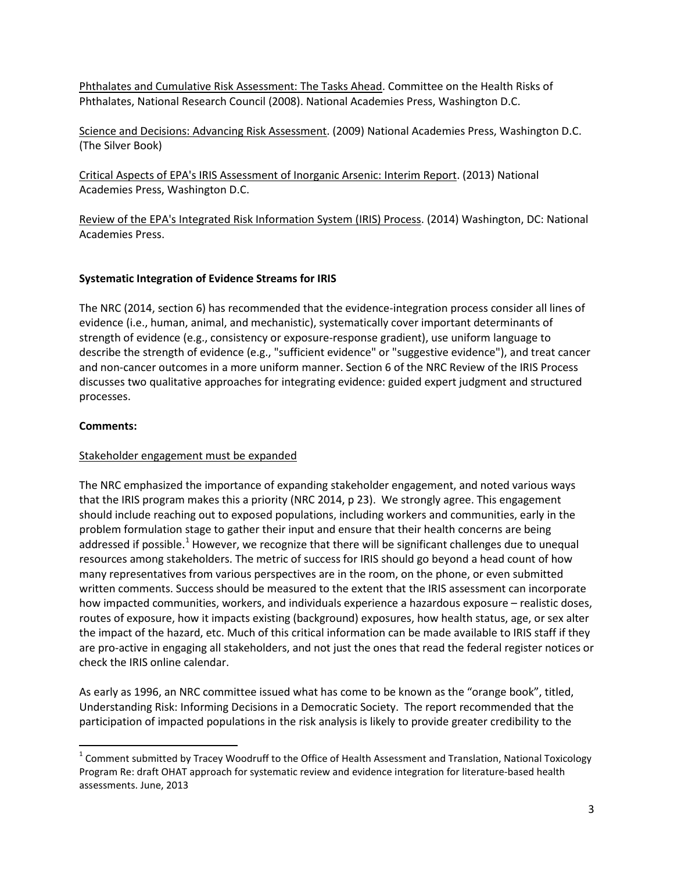Phthalates and Cumulative Risk Assessment: The Tasks Ahead. Committee on the Health Risks of Phthalates, National Research Council (2008). National Academies Press, Washington D.C.

Science and Decisions: Advancing Risk Assessment. (2009) National Academies Press, Washington D.C. (The Silver Book)

Critical Aspects of EPA's IRIS Assessment of Inorganic Arsenic: Interim Report. (2013) National Academies Press, Washington D.C.

Review of the EPA's Integrated Risk Information System (IRIS) Process. (2014) Washington, DC: National Academies Press.

# **Systematic Integration of Evidence Streams for IRIS**

The NRC (2014, section 6) has recommended that the evidence-integration process consider all lines of evidence (i.e., human, animal, and mechanistic), systematically cover important determinants of strength of evidence (e.g., consistency or exposure-response gradient), use uniform language to describe the strength of evidence (e.g., "sufficient evidence" or "suggestive evidence"), and treat cancer and non-cancer outcomes in a more uniform manner. Section 6 of the NRC Review of the IRIS Process discusses two qualitative approaches for integrating evidence: guided expert judgment and structured processes.

## **Comments:**

## Stakeholder engagement must be expanded

The NRC emphasized the importance of expanding stakeholder engagement, and noted various ways that the IRIS program makes this a priority (NRC 2014, p 23). We strongly agree. This engagement should include reaching out to exposed populations, including workers and communities, early in the problem formulation stage to gather their input and ensure that their health concerns are being addressed if possible.<sup>[1](#page-2-0)</sup> However, we recognize that there will be significant challenges due to unequal resources among stakeholders. The metric of success for IRIS should go beyond a head count of how many representatives from various perspectives are in the room, on the phone, or even submitted written comments. Success should be measured to the extent that the IRIS assessment can incorporate how impacted communities, workers, and individuals experience a hazardous exposure – realistic doses, routes of exposure, how it impacts existing (background) exposures, how health status, age, or sex alter the impact of the hazard, etc. Much of this critical information can be made available to IRIS staff if they are pro-active in engaging all stakeholders, and not just the ones that read the federal register notices or check the IRIS online calendar.

As early as 1996, an NRC committee issued what has come to be known as the "orange book", titled, Understanding Risk: Informing Decisions in a Democratic Society. The report recommended that the participation of impacted populations in the risk analysis is likely to provide greater credibility to the

<span id="page-2-0"></span> $1$  Comment submitted by Tracey Woodruff to the Office of Health Assessment and Translation, National Toxicology Program Re: draft OHAT approach for systematic review and evidence integration for literature-based health assessments. June, 2013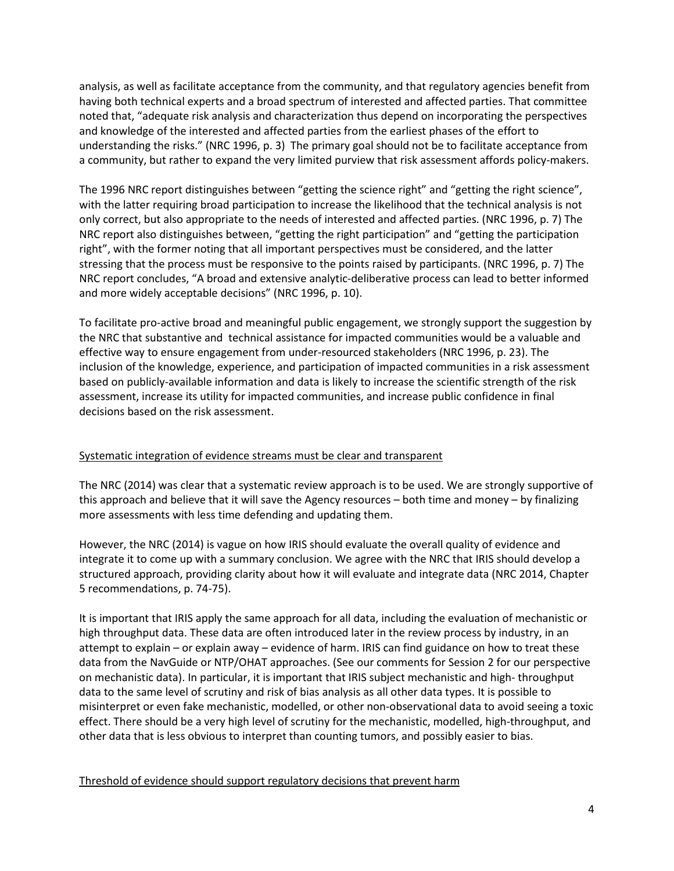analysis, as well as facilitate acceptance from the community, and that regulatory agencies benefit from having both technical experts and a broad spectrum of interested and affected parties. That committee noted that, "adequate risk analysis and characterization thus depend on incorporating the perspectives and knowledge of the interested and affected parties from the earliest phases of the effort to understanding the risks." (NRC 1996, p. 3) The primary goal should not be to facilitate acceptance from a community, but rather to expand the very limited purview that risk assessment affords policy-makers.

The 1996 NRC report distinguishes between "getting the science right" and "getting the right science", with the latter requiring broad participation to increase the likelihood that the technical analysis is not only correct, but also appropriate to the needs of interested and affected parties. (NRC 1996, p. 7) The NRC report also distinguishes between, "getting the right participation" and "getting the participation right", with the former noting that all important perspectives must be considered, and the latter stressing that the process must be responsive to the points raised by participants. (NRC 1996, p. 7) The NRC report concludes, "A broad and extensive analytic-deliberative process can lead to better informed and more widely acceptable decisions" (NRC 1996, p. 10).

To facilitate pro-active broad and meaningful public engagement, we strongly support the suggestion by the NRC that substantive and technical assistance for impacted communities would be a valuable and effective way to ensure engagement from under-resourced stakeholders (NRC 1996, p. 23). The inclusion of the knowledge, experience, and participation of impacted communities in a risk assessment based on publicly-available information and data is likely to increase the scientific strength of the risk assessment, increase its utility for impacted communities, and increase public confidence in final decisions based on the risk assessment.

# Systematic integration of evidence streams must be clear and transparent

The NRC (2014) was clear that a systematic review approach is to be used. We are strongly supportive of this approach and believe that it will save the Agency resources – both time and money – by finalizing more assessments with less time defending and updating them.

However, the NRC (2014) is vague on how IRIS should evaluate the overall quality of evidence and integrate it to come up with a summary conclusion. We agree with the NRC that IRIS should develop a structured approach, providing clarity about how it will evaluate and integrate data (NRC 2014, Chapter 5 recommendations, p. 74-75).

It is important that IRIS apply the same approach for all data, including the evaluation of mechanistic or high throughput data. These data are often introduced later in the review process by industry, in an attempt to explain – or explain away – evidence of harm. IRIS can find guidance on how to treat these data from the NavGuide or NTP/OHAT approaches. (See our comments for Session 2 for our perspective on mechanistic data). In particular, it is important that IRIS subject mechanistic and high- throughput data to the same level of scrutiny and risk of bias analysis as all other data types. It is possible to misinterpret or even fake mechanistic, modelled, or other non-observational data to avoid seeing a toxic effect. There should be a very high level of scrutiny for the mechanistic, modelled, high-throughput, and other data that is less obvious to interpret than counting tumors, and possibly easier to bias.

## Threshold of evidence should support regulatory decisions that prevent harm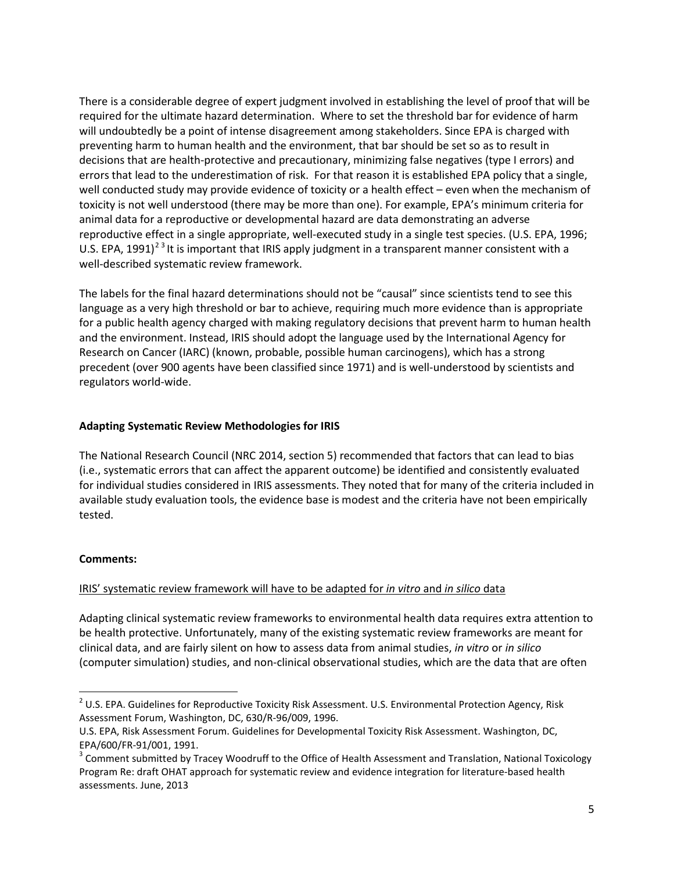There is a considerable degree of expert judgment involved in establishing the level of proof that will be required for the ultimate hazard determination. Where to set the threshold bar for evidence of harm will undoubtedly be a point of intense disagreement among stakeholders. Since EPA is charged with preventing harm to human health and the environment, that bar should be set so as to result in decisions that are health-protective and precautionary, minimizing false negatives (type I errors) and errors that lead to the underestimation of risk. For that reason it is established EPA policy that a single, well conducted study may provide evidence of toxicity or a health effect – even when the mechanism of toxicity is not well understood (there may be more than one). For example, EPA's minimum criteria for animal data for a reproductive or developmental hazard are data demonstrating an adverse reproductive effect in a single appropriate, well-executed study in a single test species. (U.S. EPA, 1996; U.S. EPA,  $1991$ <sup>[2](#page-4-0)[3](#page-4-1)</sup> It is important that IRIS apply judgment in a transparent manner consistent with a well-described systematic review framework.

The labels for the final hazard determinations should not be "causal" since scientists tend to see this language as a very high threshold or bar to achieve, requiring much more evidence than is appropriate for a public health agency charged with making regulatory decisions that prevent harm to human health and the environment. Instead, IRIS should adopt the language used by the International Agency for Research on Cancer (IARC) (known, probable, possible human carcinogens), which has a strong precedent (over 900 agents have been classified since 1971) and is well-understood by scientists and regulators world-wide.

## **Adapting Systematic Review Methodologies for IRIS**

The National Research Council (NRC 2014, section 5) recommended that factors that can lead to bias (i.e., systematic errors that can affect the apparent outcome) be identified and consistently evaluated for individual studies considered in IRIS assessments. They noted that for many of the criteria included in available study evaluation tools, the evidence base is modest and the criteria have not been empirically tested.

## **Comments:**

## IRIS' systematic review framework will have to be adapted for *in vitro* and *in silico* data

Adapting clinical systematic review frameworks to environmental health data requires extra attention to be health protective. Unfortunately, many of the existing systematic review frameworks are meant for clinical data, and are fairly silent on how to assess data from animal studies, *in vitro* or *in silico* (computer simulation) studies, and non-clinical observational studies, which are the data that are often

<span id="page-4-0"></span> $2$  U.S. EPA. Guidelines for Reproductive Toxicity Risk Assessment. U.S. Environmental Protection Agency, Risk Assessment Forum, Washington, DC, 630/R-96/009, 1996.

U.S. EPA, Risk Assessment Forum. Guidelines for Developmental Toxicity Risk Assessment. Washington, DC,

<span id="page-4-1"></span>EPA/600/FR-91/001, 1991.<br><sup>3</sup> Comment submitted by Tracey Woodruff to the Office of Health Assessment and Translation, National Toxicology Program Re: draft OHAT approach for systematic review and evidence integration for literature-based health assessments. June, 2013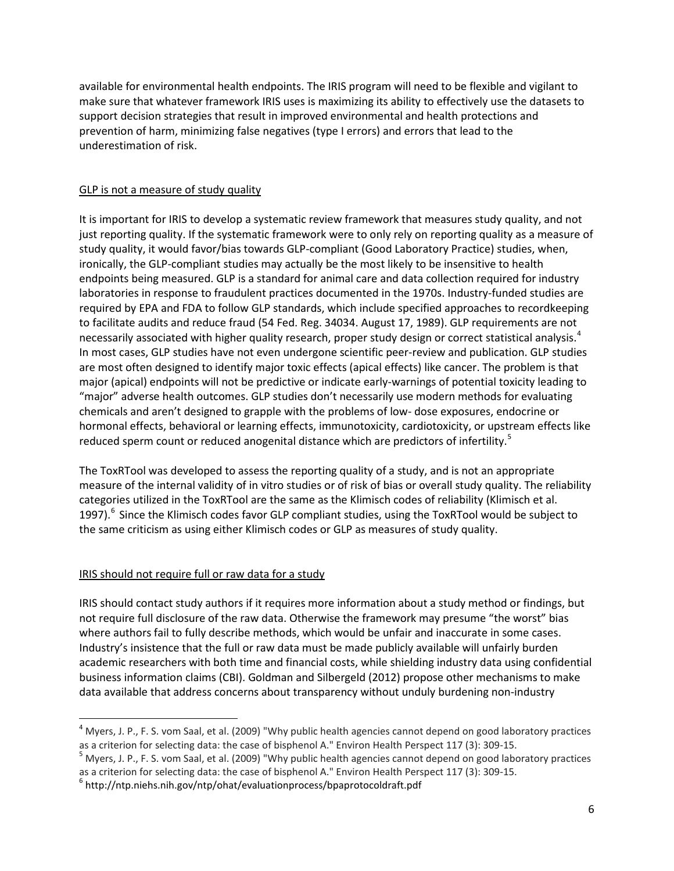available for environmental health endpoints. The IRIS program will need to be flexible and vigilant to make sure that whatever framework IRIS uses is maximizing its ability to effectively use the datasets to support decision strategies that result in improved environmental and health protections and prevention of harm, minimizing false negatives (type I errors) and errors that lead to the underestimation of risk.

# GLP is not a measure of study quality

It is important for IRIS to develop a systematic review framework that measures study quality, and not just reporting quality. If the systematic framework were to only rely on reporting quality as a measure of study quality, it would favor/bias towards GLP-compliant (Good Laboratory Practice) studies, when, ironically, the GLP-compliant studies may actually be the most likely to be insensitive to health endpoints being measured. GLP is a standard for animal care and data collection required for industry laboratories in response to fraudulent practices documented in the 1970s. Industry-funded studies are required by EPA and FDA to follow GLP standards, which include specified approaches to recordkeeping to facilitate audits and reduce fraud (54 Fed. Reg. 34034. August 17, 1989). GLP requirements are not necessarily associated with higher quality research, proper study design or correct statistical analysis.<sup>[4](#page-5-0)</sup> In most cases, GLP studies have not even undergone scientific peer-review and publication. GLP studies are most often designed to identify major toxic effects (apical effects) like cancer. The problem is that major (apical) endpoints will not be predictive or indicate early-warnings of potential toxicity leading to "major" adverse health outcomes. GLP studies don't necessarily use modern methods for evaluating chemicals and aren't designed to grapple with the problems of low- dose exposures, endocrine or hormonal effects, behavioral or learning effects, immunotoxicity, cardiotoxicity, or upstream effects like reduced sperm count or reduced anogenital distance which are predictors of infertility.<sup>[5](#page-5-1)</sup>

The ToxRTool was developed to assess the reporting quality of a study, and is not an appropriate measure of the internal validity of in vitro studies or of risk of bias or overall study quality. The reliability categories utilized in the ToxRTool are the same as the Klimisch codes of reliability (Klimisch et al. 1997).<sup>[6](#page-5-2)</sup> Since the Klimisch codes favor GLP compliant studies, using the ToxRTool would be subject to the same criticism as using either Klimisch codes or GLP as measures of study quality.

# IRIS should not require full or raw data for a study

IRIS should contact study authors if it requires more information about a study method or findings, but not require full disclosure of the raw data. Otherwise the framework may presume "the worst" bias where authors fail to fully describe methods, which would be unfair and inaccurate in some cases. Industry's insistence that the full or raw data must be made publicly available will unfairly burden academic researchers with both time and financial costs, while shielding industry data using confidential business information claims (CBI). Goldman and Silbergeld (2012) propose other mechanisms to make data available that address concerns about transparency without unduly burdening non-industry

<span id="page-5-0"></span> $4$  Myers, J. P., F. S. vom Saal, et al. (2009) "Why public health agencies cannot depend on good laboratory practices as a criterion for selecting data: the case of bisphenol A." Environ Health Perspect 117 (3): 309-15.<br><sup>5</sup> Myers, J. P., F. S. vom Saal, et al. (2009) "Why public health agencies cannot depend on good laboratory practices

<span id="page-5-1"></span>as a criterion for selecting data: the case of bisphenol A." Environ Health Perspect 117 (3): 309-15.<br><sup>6</sup> http://ntp.niehs.nih.gov/ntp/ohat/evaluationprocess/bpaprotocoldraft.pdf

<span id="page-5-2"></span>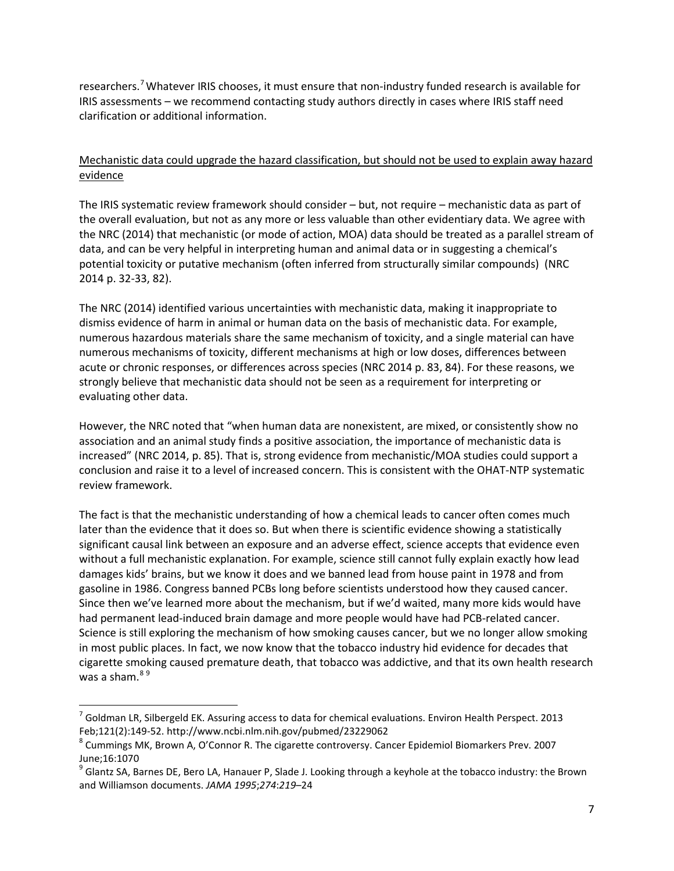researchers.<sup>[7](#page-6-0)</sup> Whatever IRIS chooses, it must ensure that non-industry funded research is available for IRIS assessments – we recommend contacting study authors directly in cases where IRIS staff need clarification or additional information.

# Mechanistic data could upgrade the hazard classification, but should not be used to explain away hazard evidence

The IRIS systematic review framework should consider – but, not require – mechanistic data as part of the overall evaluation, but not as any more or less valuable than other evidentiary data. We agree with the NRC (2014) that mechanistic (or mode of action, MOA) data should be treated as a parallel stream of data, and can be very helpful in interpreting human and animal data or in suggesting a chemical's potential toxicity or putative mechanism (often inferred from structurally similar compounds) (NRC 2014 p. 32-33, 82).

The NRC (2014) identified various uncertainties with mechanistic data, making it inappropriate to dismiss evidence of harm in animal or human data on the basis of mechanistic data. For example, numerous hazardous materials share the same mechanism of toxicity, and a single material can have numerous mechanisms of toxicity, different mechanisms at high or low doses, differences between acute or chronic responses, or differences across species (NRC 2014 p. 83, 84). For these reasons, we strongly believe that mechanistic data should not be seen as a requirement for interpreting or evaluating other data.

However, the NRC noted that "when human data are nonexistent, are mixed, or consistently show no association and an animal study finds a positive association, the importance of mechanistic data is increased" (NRC 2014, p. 85). That is, strong evidence from mechanistic/MOA studies could support a conclusion and raise it to a level of increased concern. This is consistent with the OHAT-NTP systematic review framework.

The fact is that the mechanistic understanding of how a chemical leads to cancer often comes much later than the evidence that it does so. But when there is scientific evidence showing a statistically significant causal link between an exposure and an adverse effect, science accepts that evidence even without a full mechanistic explanation. For example, science still cannot fully explain exactly how lead damages kids' brains, but we know it does and we banned lead from house paint in 1978 and from gasoline in 1986. Congress banned PCBs long before scientists understood how they caused cancer. Since then we've learned more about the mechanism, but if we'd waited, many more kids would have had permanent lead-induced brain damage and more people would have had PCB-related cancer. Science is still exploring the mechanism of how smoking causes cancer, but we no longer allow smoking in most public places. In fact, we now know that the tobacco industry hid evidence for decades that cigarette smoking caused premature death, that tobacco was addictive, and that its own health research was a sham.<sup>[8](#page-6-1)[9](#page-6-2)</sup>

<span id="page-6-0"></span> $<sup>7</sup>$  Goldman LR, Silbergeld EK. Assuring access to data for chemical evaluations. Environ Health Perspect. 2013</sup> Feb;121(2):149-52. http://www.ncbi.nlm.nih.gov/pubmed/23229062<br><sup>8</sup> Cummings MK, Brown A, O'Connor R. The cigarette controversy. Cancer Epidemiol Biomarkers Prev. 2007

<span id="page-6-1"></span>June;16:1070

<span id="page-6-2"></span> $9$  Glantz SA, Barnes DE, Bero LA, Hanauer P, Slade J. Looking through a keyhole at the tobacco industry: the Brown and Williamson documents. *JAMA 1995*;*274*:*219*–24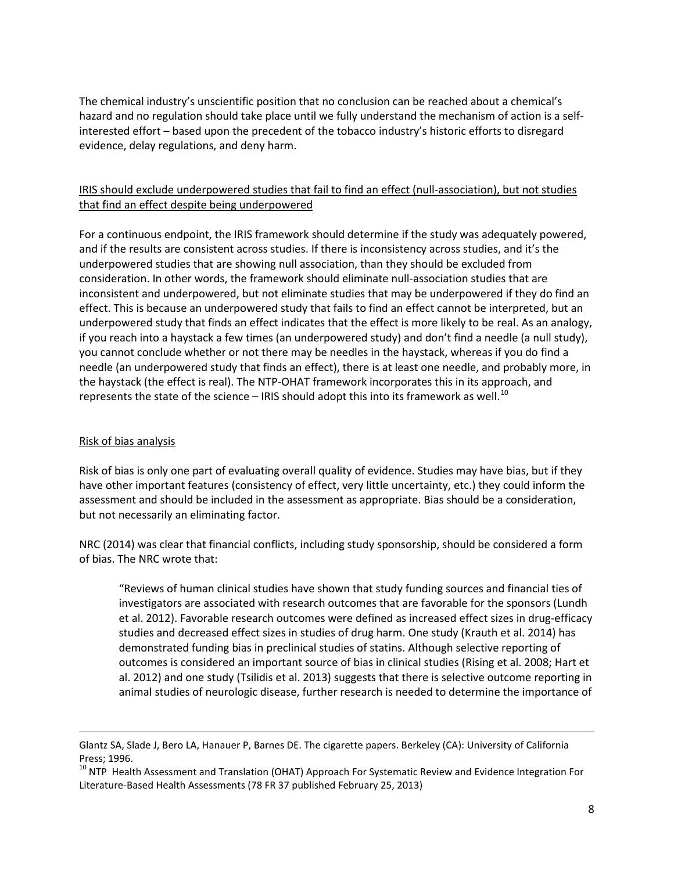The chemical industry's unscientific position that no conclusion can be reached about a chemical's hazard and no regulation should take place until we fully understand the mechanism of action is a selfinterested effort – based upon the precedent of the tobacco industry's historic efforts to disregard evidence, delay regulations, and deny harm.

# IRIS should exclude underpowered studies that fail to find an effect (null-association), but not studies that find an effect despite being underpowered

For a continuous endpoint, the IRIS framework should determine if the study was adequately powered, and if the results are consistent across studies. If there is inconsistency across studies, and it's the underpowered studies that are showing null association, than they should be excluded from consideration. In other words, the framework should eliminate null-association studies that are inconsistent and underpowered, but not eliminate studies that may be underpowered if they do find an effect. This is because an underpowered study that fails to find an effect cannot be interpreted, but an underpowered study that finds an effect indicates that the effect is more likely to be real. As an analogy, if you reach into a haystack a few times (an underpowered study) and don't find a needle (a null study), you cannot conclude whether or not there may be needles in the haystack, whereas if you do find a needle (an underpowered study that finds an effect), there is at least one needle, and probably more, in the haystack (the effect is real). The NTP-OHAT framework incorporates this in its approach, and represents the state of the science – IRIS should adopt this into its framework as well.<sup>[10](#page-7-0)</sup>

# Risk of bias analysis

 $\overline{\phantom{a}}$ 

Risk of bias is only one part of evaluating overall quality of evidence. Studies may have bias, but if they have other important features (consistency of effect, very little uncertainty, etc.) they could inform the assessment and should be included in the assessment as appropriate. Bias should be a consideration, but not necessarily an eliminating factor.

NRC (2014) was clear that financial conflicts, including study sponsorship, should be considered a form of bias. The NRC wrote that:

"Reviews of human clinical studies have shown that study funding sources and financial ties of investigators are associated with research outcomes that are favorable for the sponsors (Lundh et al. 2012). Favorable research outcomes were defined as increased effect sizes in drug-efficacy studies and decreased effect sizes in studies of drug harm. One study (Krauth et al. 2014) has demonstrated funding bias in preclinical studies of statins. Although selective reporting of outcomes is considered an important source of bias in clinical studies (Rising et al. 2008; Hart et al. 2012) and one study (Tsilidis et al. 2013) suggests that there is selective outcome reporting in animal studies of neurologic disease, further research is needed to determine the importance of

Glantz SA, Slade J, Bero LA, Hanauer P, Barnes DE. The cigarette papers. Berkeley (CA): University of California Press; 1996.

<span id="page-7-0"></span><sup>&</sup>lt;sup>10</sup> NTP Health Assessment and Translation (OHAT) Approach For Systematic Review and Evidence Integration For Literature-Based Health Assessments (78 FR 37 published February 25, 2013)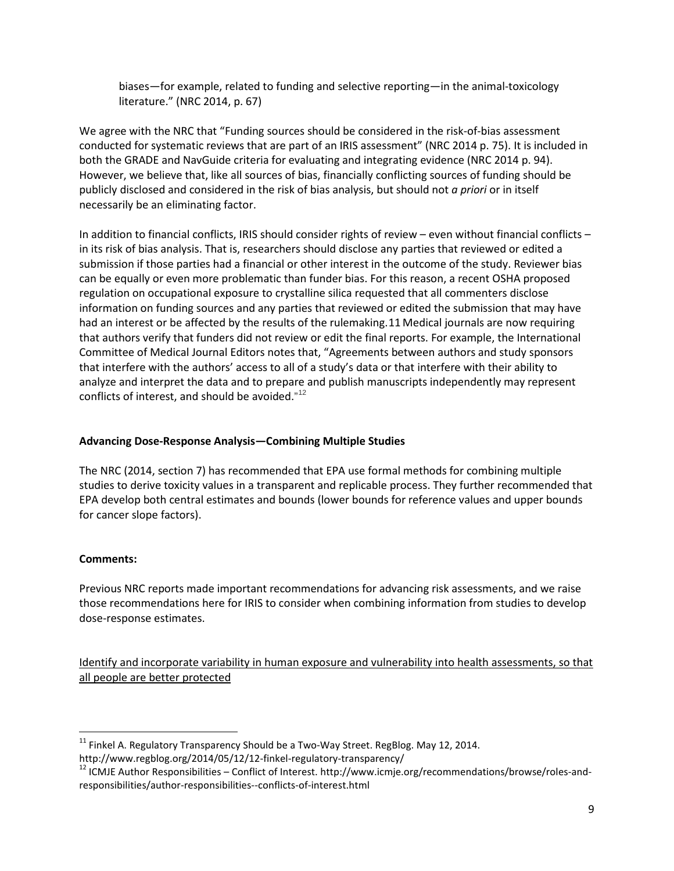biases—for example, related to funding and selective reporting—in the animal-toxicology literature." (NRC 2014, p. 67)

We agree with the NRC that "Funding sources should be considered in the risk-of-bias assessment conducted for systematic reviews that are part of an IRIS assessment" (NRC 2014 p. 75). It is included in both the GRADE and NavGuide criteria for evaluating and integrating evidence (NRC 2014 p. 94). However, we believe that, like all sources of bias, financially conflicting sources of funding should be publicly disclosed and considered in the risk of bias analysis, but should not *a priori* or in itself necessarily be an eliminating factor.

In addition to financial conflicts, IRIS should consider rights of review – even without financial conflicts – in its risk of bias analysis. That is, researchers should disclose any parties that reviewed or edited a submission if those parties had a financial or other interest in the outcome of the study. Reviewer bias can be equally or even more problematic than funder bias. For this reason, a recent OSHA proposed regulation on occupational exposure to crystalline silica requested that all commenters disclose information on funding sources and any parties that reviewed or edited the submission that may have had an interest or be affected by the results of the rulemaking.[11](#page-8-0) Medical journals are now requiring that authors verify that funders did not review or edit the final reports. For example, the International Committee of Medical Journal Editors notes that, "Agreements between authors and study sponsors that interfere with the authors' access to all of a study's data or that interfere with their ability to analyze and interpret the data and to prepare and publish manuscripts independently may represent conflicts of interest, and should be avoided."<sup>[12](#page-8-1)</sup>

## **Advancing Dose-Response Analysis—Combining Multiple Studies**

The NRC (2014, section 7) has recommended that EPA use formal methods for combining multiple studies to derive toxicity values in a transparent and replicable process. They further recommended that EPA develop both central estimates and bounds (lower bounds for reference values and upper bounds for cancer slope factors).

## **Comments:**

Previous NRC reports made important recommendations for advancing risk assessments, and we raise those recommendations here for IRIS to consider when combining information from studies to develop dose-response estimates.

Identify and incorporate variability in human exposure and vulnerability into health assessments, so that all people are better protected

<span id="page-8-0"></span> $11$  Finkel A. Regulatory Transparency Should be a Two-Way Street. RegBlog. May 12, 2014.

<span id="page-8-1"></span>http://www.regblog.org/2014/05/12/12-finkel-regulatory-transparency/<br><sup>12</sup> ICMJE Author Responsibilities – Conflict of Interest. http://www.icmje.org/recommendations/browse/roles-andresponsibilities/author-responsibilities--conflicts-of-interest.html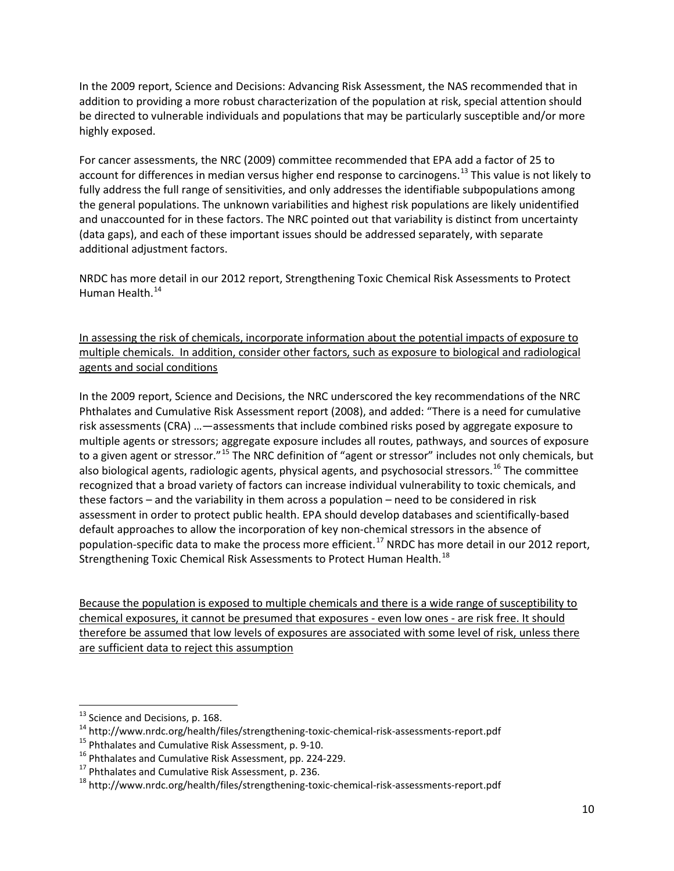In the 2009 report, Science and Decisions: Advancing Risk Assessment, the NAS recommended that in addition to providing a more robust characterization of the population at risk, special attention should be directed to vulnerable individuals and populations that may be particularly susceptible and/or more highly exposed.

For cancer assessments, the NRC (2009) committee recommended that EPA add a factor of 25 to account for differences in median versus higher end response to carcinogens.<sup>[13](#page-9-0)</sup> This value is not likely to fully address the full range of sensitivities, and only addresses the identifiable subpopulations among the general populations. The unknown variabilities and highest risk populations are likely unidentified and unaccounted for in these factors. The NRC pointed out that variability is distinct from uncertainty (data gaps), and each of these important issues should be addressed separately, with separate additional adjustment factors.

NRDC has more detail in our 2012 report, Strengthening Toxic Chemical Risk Assessments to Protect Human Health.<sup>[14](#page-9-1)</sup>

In assessing the risk of chemicals, incorporate information about the potential impacts of exposure to multiple chemicals. In addition, consider other factors, such as exposure to biological and radiological agents and social conditions

In the 2009 report, Science and Decisions, the NRC underscored the key recommendations of the NRC Phthalates and Cumulative Risk Assessment report (2008), and added: "There is a need for cumulative risk assessments (CRA) …—assessments that include combined risks posed by aggregate exposure to multiple agents or stressors; aggregate exposure includes all routes, pathways, and sources of exposure to a given agent or stressor."<sup>[15](#page-9-2)</sup> The NRC definition of "agent or stressor" includes not only chemicals, but also biological agents, radiologic agents, physical agents, and psychosocial stressors.<sup>[16](#page-9-3)</sup> The committee recognized that a broad variety of factors can increase individual vulnerability to toxic chemicals, and these factors – and the variability in them across a population – need to be considered in risk assessment in order to protect public health. EPA should develop databases and scientifically-based default approaches to allow the incorporation of key non-chemical stressors in the absence of population-specific data to make the process more efficient.<sup>[17](#page-9-4)</sup> NRDC has more detail in our 2012 report, Strengthening Toxic Chemical Risk Assessments to Protect Human Health.<sup>[18](#page-9-5)</sup>

Because the population is exposed to multiple chemicals and there is a wide range of susceptibility to chemical exposures, it cannot be presumed that exposures - even low ones - are risk free. It should therefore be assumed that low levels of exposures are associated with some level of risk, unless there are sufficient data to reject this assumption

<span id="page-9-1"></span><span id="page-9-0"></span><sup>&</sup>lt;sup>13</sup> Science and Decisions, p. 168.<br>
<sup>14</sup> http://www.nrdc.org/health/files/strengthening-toxic-chemical-risk-assessments-report.pdf<br>
<sup>15</sup> Phthalates and Cumulative Risk Assessment, p. 9-10.<br>
<sup>16</sup> Phthalates and Cumulative

<span id="page-9-2"></span>

<span id="page-9-3"></span>

<span id="page-9-4"></span>

<span id="page-9-5"></span>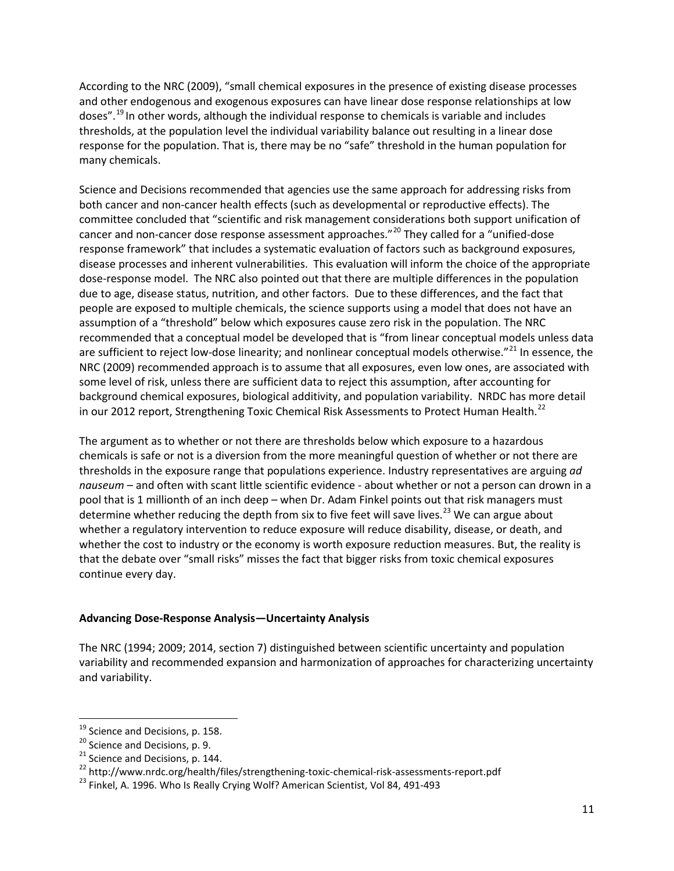According to the NRC (2009), "small chemical exposures in the presence of existing disease processes and other endogenous and exogenous exposures can have linear dose response relationships at low doses".[19](#page-10-0) In other words, although the individual response to chemicals is variable and includes thresholds, at the population level the individual variability balance out resulting in a linear dose response for the population. That is, there may be no "safe" threshold in the human population for many chemicals.

Science and Decisions recommended that agencies use the same approach for addressing risks from both cancer and non-cancer health effects (such as developmental or reproductive effects). The committee concluded that "scientific and risk management considerations both support unification of cancer and non-cancer dose response assessment approaches."<sup>[20](#page-10-1)</sup> They called for a "unified-dose response framework" that includes a systematic evaluation of factors such as background exposures, disease processes and inherent vulnerabilities. This evaluation will inform the choice of the appropriate dose-response model. The NRC also pointed out that there are multiple differences in the population due to age, disease status, nutrition, and other factors. Due to these differences, and the fact that people are exposed to multiple chemicals, the science supports using a model that does not have an assumption of a "threshold" below which exposures cause zero risk in the population. The NRC recommended that a conceptual model be developed that is "from linear conceptual models unless data are sufficient to reject low-dose linearity; and nonlinear conceptual models otherwise."<sup>[21](#page-10-2)</sup> In essence, the NRC (2009) recommended approach is to assume that all exposures, even low ones, are associated with some level of risk, unless there are sufficient data to reject this assumption, after accounting for background chemical exposures, biological additivity, and population variability. NRDC has more detail in our 2012 report, Strengthening Toxic Chemical Risk Assessments to Protect Human Health.<sup>[22](#page-10-3)</sup>

The argument as to whether or not there are thresholds below which exposure to a hazardous chemicals is safe or not is a diversion from the more meaningful question of whether or not there are thresholds in the exposure range that populations experience. Industry representatives are arguing *ad nauseum* – and often with scant little scientific evidence - about whether or not a person can drown in a pool that is 1 millionth of an inch deep – when Dr. Adam Finkel points out that risk managers must determine whether reducing the depth from six to five feet will save lives.<sup>[23](#page-10-4)</sup> We can argue about whether a regulatory intervention to reduce exposure will reduce disability, disease, or death, and whether the cost to industry or the economy is worth exposure reduction measures. But, the reality is that the debate over "small risks" misses the fact that bigger risks from toxic chemical exposures continue every day.

## **Advancing Dose-Response Analysis—Uncertainty Analysis**

The NRC (1994; 2009; 2014, section 7) distinguished between scientific uncertainty and population variability and recommended expansion and harmonization of approaches for characterizing uncertainty and variability.

<span id="page-10-2"></span>

<span id="page-10-1"></span><span id="page-10-0"></span><sup>&</sup>lt;sup>19</sup> Science and Decisions, p. 158.<br><sup>20</sup> Science and Decisions, p. 9.<br><sup>21</sup> Science and Decisions, p. 144.<br><sup>22</sup> http://www.nrdc.org/health/files/strengthening-toxic-chemical-risk-assessments-report.pdf<br><sup>23</sup> Finkel. A. 1996

<span id="page-10-4"></span><span id="page-10-3"></span>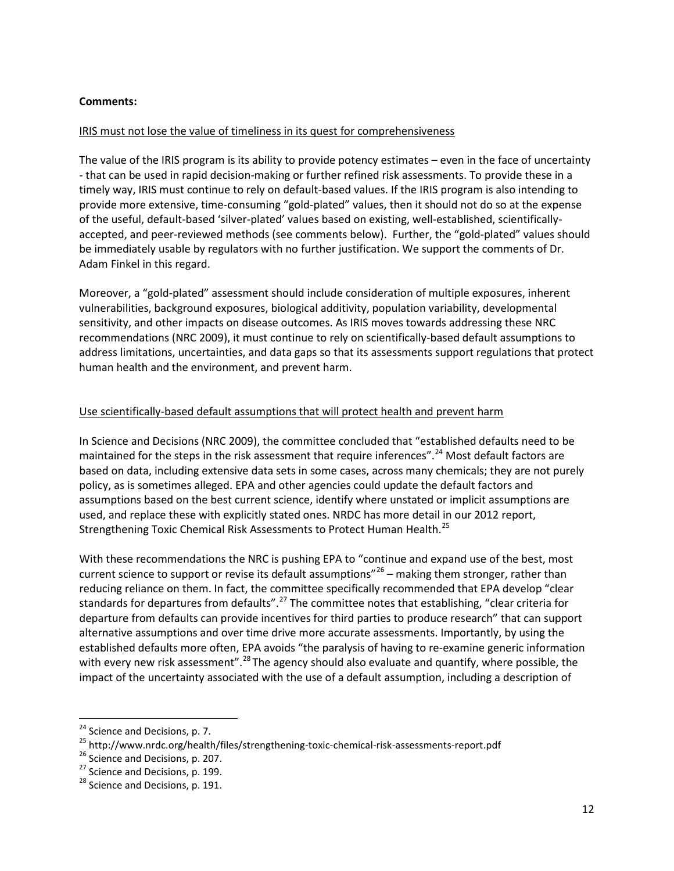## **Comments:**

## IRIS must not lose the value of timeliness in its quest for comprehensiveness

The value of the IRIS program is its ability to provide potency estimates – even in the face of uncertainty - that can be used in rapid decision-making or further refined risk assessments. To provide these in a timely way, IRIS must continue to rely on default-based values. If the IRIS program is also intending to provide more extensive, time-consuming "gold-plated" values, then it should not do so at the expense of the useful, default-based 'silver-plated' values based on existing, well-established, scientificallyaccepted, and peer-reviewed methods (see comments below). Further, the "gold-plated" values should be immediately usable by regulators with no further justification. We support the comments of Dr. Adam Finkel in this regard.

Moreover, a "gold-plated" assessment should include consideration of multiple exposures, inherent vulnerabilities, background exposures, biological additivity, population variability, developmental sensitivity, and other impacts on disease outcomes. As IRIS moves towards addressing these NRC recommendations (NRC 2009), it must continue to rely on scientifically-based default assumptions to address limitations, uncertainties, and data gaps so that its assessments support regulations that protect human health and the environment, and prevent harm.

## Use scientifically-based default assumptions that will protect health and prevent harm

In Science and Decisions (NRC 2009), the committee concluded that "established defaults need to be maintained for the steps in the risk assessment that require inferences".<sup>[24](#page-11-0)</sup> Most default factors are based on data, including extensive data sets in some cases, across many chemicals; they are not purely policy, as is sometimes alleged. EPA and other agencies could update the default factors and assumptions based on the best current science, identify where unstated or implicit assumptions are used, and replace these with explicitly stated ones. NRDC has more detail in our 2012 report, Strengthening Toxic Chemical Risk Assessments to Protect Human Health.<sup>[25](#page-11-1)</sup>

With these recommendations the NRC is pushing EPA to "continue and expand use of the best, most current science to support or revise its default assumptions"<sup>[26](#page-11-2)</sup> – making them stronger, rather than reducing reliance on them. In fact, the committee specifically recommended that EPA develop "clear standards for departures from defaults".<sup>[27](#page-11-3)</sup> The committee notes that establishing, "clear criteria for departure from defaults can provide incentives for third parties to produce research" that can support alternative assumptions and over time drive more accurate assessments. Importantly, by using the established defaults more often, EPA avoids "the paralysis of having to re-examine generic information with every new risk assessment".<sup>[28](#page-11-4)</sup> The agency should also evaluate and quantify, where possible, the impact of the uncertainty associated with the use of a default assumption, including a description of

<span id="page-11-1"></span><span id="page-11-0"></span><sup>&</sup>lt;sup>24</sup> Science and Decisions, p. 7.<br>
<sup>25</sup> http://www.nrdc.org/health/files/strengthening-toxic-chemical-risk-assessments-report.pdf<br>
<sup>26</sup> Science and Decisions, p. 207.<br>
<sup>27</sup> Science and Decisions, p. 199.<br>
<sup>28</sup> Science and

<span id="page-11-2"></span>

<span id="page-11-4"></span><span id="page-11-3"></span>